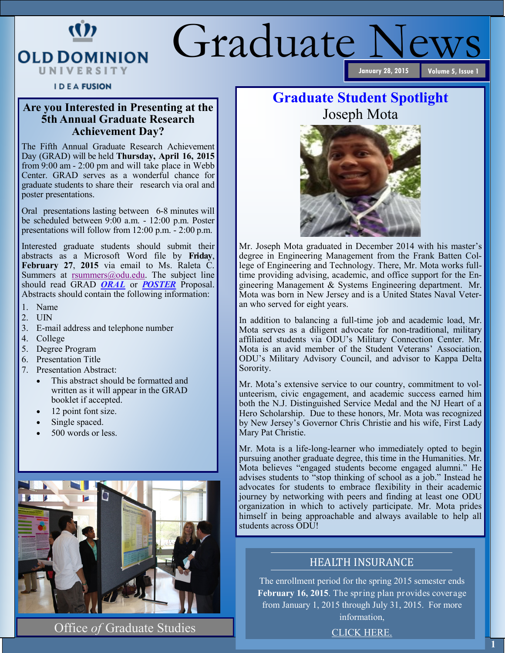## Graduate News **January 28, 2015**

#### **IDEA FUSION**

W

**OLD DOMINION** UNIVERSITY

## **Are you Interested in Presenting at the 5th Annual Graduate Research Achievement Day?**

The Fifth Annual Graduate Research Achievement Day (GRAD) will be held **Thursday, April 16, 2015** from 9:00 am - 2:00 pm and will take place in Webb Center. GRAD serves as a wonderful chance for graduate students to share their research via oral and poster presentations.

Oral presentations lasting between 6-8 minutes will be scheduled between 9:00 a.m. - 12:00 p.m. Poster presentations will follow from 12:00 p.m. - 2:00 p.m.

Interested graduate students should submit their abstracts as a Microsoft Word file by **Friday**, **February 27**, **2015** via email to Ms. Raleta C. Summers at [rsummers@odu.edu.](mailto:rsummers@odu.edu) The subject line should read GRAD *ORAL* or *POSTER* Proposal. Abstracts should contain the following information:

- 1. Name
- 2. UIN
- 3. E-mail address and telephone number
- 4. College
- 5. Degree Program
- 6. Presentation Title
- 7. Presentation Abstract:
	- This abstract should be formatted and written as it will appear in the GRAD booklet if accepted.
	- 12 point font size.
	- Single spaced.
	- 500 words or less.



Office *of* Graduate Studies

## **Graduate Student Spotlight** Joseph Mota



Mr. Joseph Mota graduated in December 2014 with his master's degree in Engineering Management from the Frank Batten College of Engineering and Technology. There, Mr. Mota works fulltime providing advising, academic, and office support for the Engineering Management & Systems Engineering department. Mr. Mota was born in New Jersey and is a United States Naval Veteran who served for eight years.

In addition to balancing a full-time job and academic load, Mr. Mota serves as a diligent advocate for non-traditional, military affiliated students via ODU's Military Connection Center. Mr. Mota is an avid member of the Student Veterans' Association, ODU's Military Advisory Council, and advisor to Kappa Delta Sorority.

Mr. Mota's extensive service to our country, commitment to volunteerism, civic engagement, and academic success earned him both the N.J. Distinguished Service Medal and the NJ Heart of a Hero Scholarship. Due to these honors, Mr. Mota was recognized by New Jersey's Governor Chris Christie and his wife, First Lady Mary Pat Christie.

Mr. Mota is a life-long-learner who immediately opted to begin pursuing another graduate degree, this time in the Humanities. Mr. Mota believes "engaged students become engaged alumni." He advises students to "stop thinking of school as a job." Instead he advocates for students to embrace flexibility in their academic journey by networking with peers and finding at least one ODU organization in which to actively participate. Mr. Mota prides himself in being approachable and always available to help all students across ODU!

### HEALTH INSURANCE

The enrollment period for the spring 2015 semester ends **February 16, 2015**. The spring plan provides coverage from January 1, 2015 through July 31, 2015. For more information,

[CLICK HERE.](http://www.odu.edu/graduatestudies/graduate-student-health-insurance)